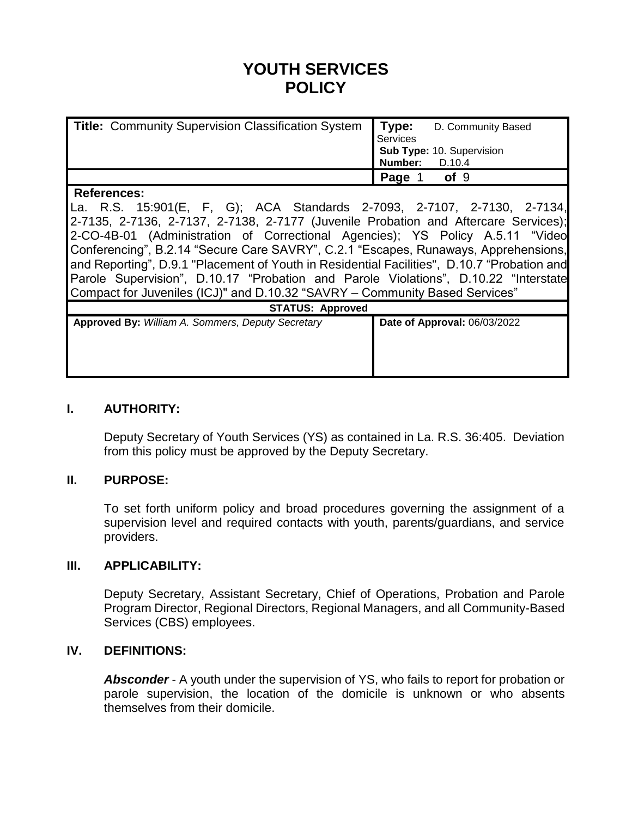# **YOUTH SERVICES POLICY**

| Title: Community Supervision Classification System   Type: | D. Community Based<br>Services<br>Sub Type: 10. Supervision<br>Number: D.10.4 |
|------------------------------------------------------------|-------------------------------------------------------------------------------|
|                                                            |                                                                               |
|                                                            | Page<br>of <sub>9</sub>                                                       |
| $D = 5 - 1 - 1 - 1$                                        |                                                                               |

#### **References:**

La. R.S. 15:901(E, F, G); ACA Standards 2-7093, 2-7107, 2-7130, 2-7134, 2-7135, 2-7136, 2-7137, 2-7138, 2-7177 (Juvenile Probation and Aftercare Services); 2-CO-4B-01 (Administration of Correctional Agencies); YS Policy A.5.11 "Video Conferencing", B.2.14 "Secure Care SAVRY", C.2.1 "Escapes, Runaways, Apprehensions, and Reporting", D.9.1 "Placement of Youth in Residential Facilities", D.10.7 "Probation and Parole Supervision", D.10.17 "Probation and Parole Violations", D.10.22 "Interstate Compact for Juveniles (ICJ)" and D.10.32 "SAVRY – Community Based Services"

| <b>STATUS: Approved</b>                                  |                                     |  |  |  |
|----------------------------------------------------------|-------------------------------------|--|--|--|
| <b>Approved By: William A. Sommers, Deputy Secretary</b> | <b>Date of Approval: 06/03/2022</b> |  |  |  |
|                                                          |                                     |  |  |  |
|                                                          |                                     |  |  |  |
|                                                          |                                     |  |  |  |
|                                                          |                                     |  |  |  |
|                                                          |                                     |  |  |  |
|                                                          |                                     |  |  |  |

## **I. AUTHORITY:**

Deputy Secretary of Youth Services (YS) as contained in La. R.S. 36:405. Deviation from this policy must be approved by the Deputy Secretary.

#### **II. PURPOSE:**

To set forth uniform policy and broad procedures governing the assignment of a supervision level and required contacts with youth, parents/guardians, and service providers.

#### **III. APPLICABILITY:**

Deputy Secretary, Assistant Secretary, Chief of Operations, Probation and Parole Program Director, Regional Directors, Regional Managers, and all Community-Based Services (CBS) employees.

#### **IV. DEFINITIONS:**

**Absconder** - A youth under the supervision of YS, who fails to report for probation or parole supervision, the location of the domicile is unknown or who absents themselves from their domicile.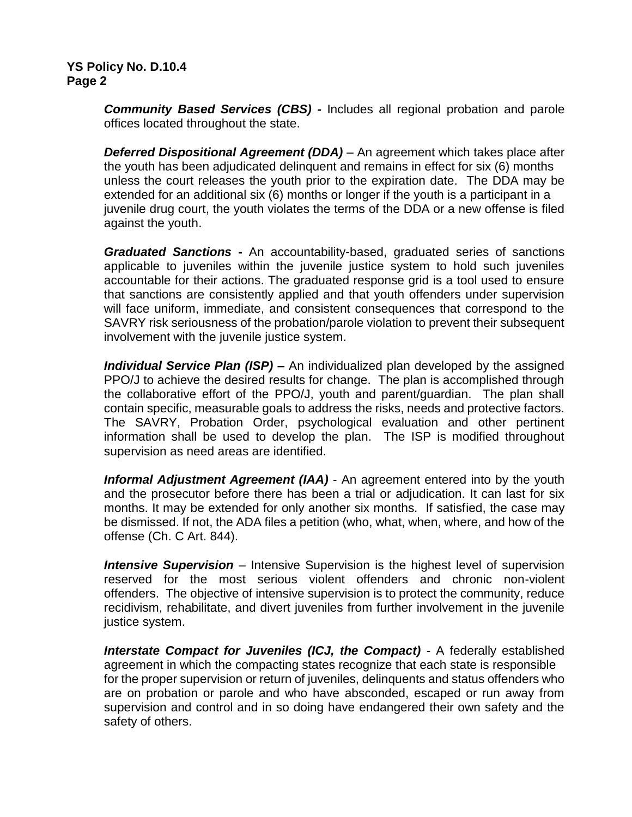*Community Based Services (CBS) -* Includes all regional probation and parole offices located throughout the state.

*Deferred Dispositional Agreement (DDA)* – An agreement which takes place after the youth has been adjudicated delinquent and remains in effect for six (6) months unless the court releases the youth prior to the expiration date. The DDA may be extended for an additional six (6) months or longer if the youth is a participant in a juvenile drug court, the youth violates the terms of the DDA or a new offense is filed against the youth.

*Graduated Sanctions* **-** An accountability-based, graduated series of sanctions applicable to juveniles within the juvenile justice system to hold such juveniles accountable for their actions. The graduated response grid is a tool used to ensure that sanctions are consistently applied and that youth offenders under supervision will face uniform, immediate, and consistent consequences that correspond to the SAVRY risk seriousness of the probation/parole violation to prevent their subsequent involvement with the juvenile justice system.

*Individual Service Plan (ISP) –* An individualized plan developed by the assigned PPO/J to achieve the desired results for change. The plan is accomplished through the collaborative effort of the PPO/J, youth and parent/guardian. The plan shall contain specific, measurable goals to address the risks, needs and protective factors. The SAVRY, Probation Order, psychological evaluation and other pertinent information shall be used to develop the plan. The ISP is modified throughout supervision as need areas are identified.

**Informal Adjustment Agreement (IAA)** - An agreement entered into by the youth and the prosecutor before there has been a trial or adjudication. It can last for six months. It may be extended for only another six months. If satisfied, the case may be dismissed. If not, the ADA files a petition (who, what, when, where, and how of the offense (Ch. C Art. 844).

*Intensive Supervision* – Intensive Supervision is the highest level of supervision reserved for the most serious violent offenders and chronic non-violent offenders. The objective of intensive supervision is to protect the community, reduce recidivism, rehabilitate, and divert juveniles from further involvement in the juvenile justice system.

*Interstate Compact for Juveniles (ICJ, the Compact)* - A federally established agreement in which the compacting states recognize that each state is responsible for the proper supervision or return of juveniles, delinquents and status offenders who are on probation or parole and who have absconded, escaped or run away from supervision and control and in so doing have endangered their own safety and the safety of others.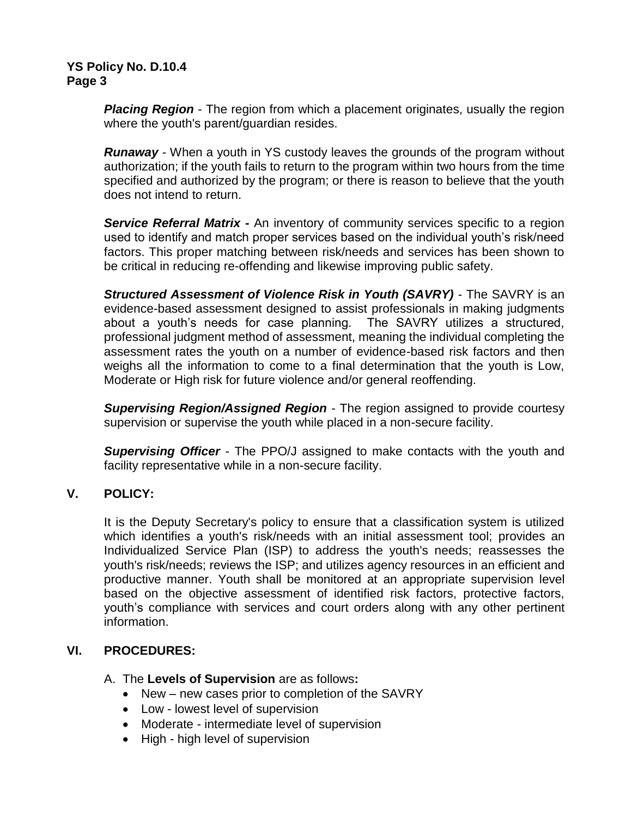*Placing Region* - The region from which a placement originates, usually the region where the youth's parent/guardian resides.

*Runaway* - When a youth in YS custody leaves the grounds of the program without authorization; if the youth fails to return to the program within two hours from the time specified and authorized by the program; or there is reason to believe that the youth does not intend to return.

*Service Referral Matrix* **-** An inventory of community services specific to a region used to identify and match proper services based on the individual youth's risk/need factors. This proper matching between risk/needs and services has been shown to be critical in reducing re-offending and likewise improving public safety.

*Structured Assessment of Violence Risk in Youth (SAVRY)* - The SAVRY is an evidence-based assessment designed to assist professionals in making judgments about a youth's needs for case planning. The SAVRY utilizes a structured, professional judgment method of assessment, meaning the individual completing the assessment rates the youth on a number of evidence-based risk factors and then weighs all the information to come to a final determination that the youth is Low, Moderate or High risk for future violence and/or general reoffending.

*Supervising Region/Assigned Region* - The region assigned to provide courtesy supervision or supervise the youth while placed in a non-secure facility.

*Supervising Officer* - The PPO/J assigned to make contacts with the youth and facility representative while in a non-secure facility.

# **V. POLICY:**

It is the Deputy Secretary's policy to ensure that a classification system is utilized which identifies a youth's risk/needs with an initial assessment tool; provides an Individualized Service Plan (ISP) to address the youth's needs; reassesses the youth's risk/needs; reviews the ISP; and utilizes agency resources in an efficient and productive manner. Youth shall be monitored at an appropriate supervision level based on the objective assessment of identified risk factors, protective factors, youth's compliance with services and court orders along with any other pertinent information.

# **VI. PROCEDURES:**

- A. The **Levels of Supervision** are as follows**:**
	- New new cases prior to completion of the SAVRY
	- Low lowest level of supervision
	- Moderate intermediate level of supervision
	- High high level of supervision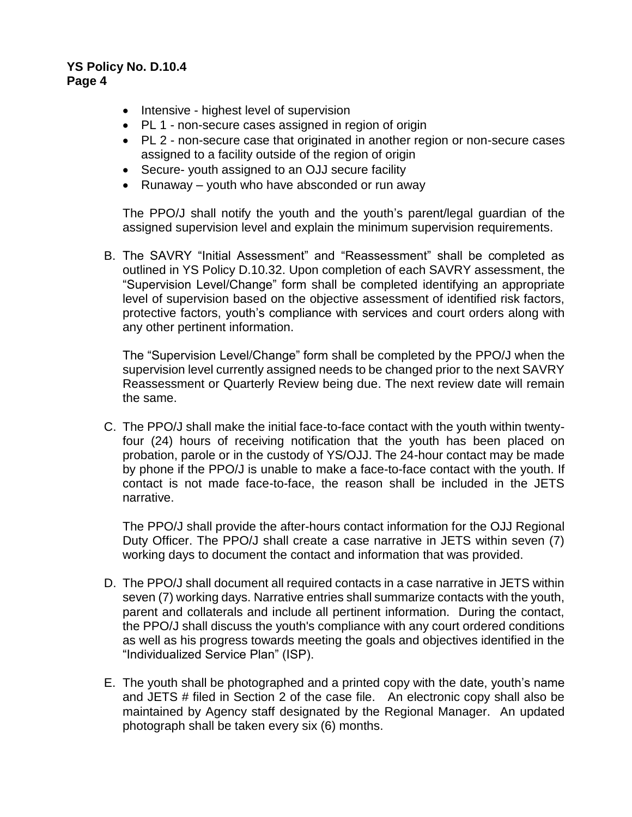- Intensive highest level of supervision
- PL 1 non-secure cases assigned in region of origin
- PL 2 non-secure case that originated in another region or non-secure cases assigned to a facility outside of the region of origin
- Secure- youth assigned to an OJJ secure facility
- Runaway youth who have absconded or run away

The PPO/J shall notify the youth and the youth's parent/legal guardian of the assigned supervision level and explain the minimum supervision requirements.

B. The SAVRY "Initial Assessment" and "Reassessment" shall be completed as outlined in YS Policy D.10.32. Upon completion of each SAVRY assessment, the "Supervision Level/Change" form shall be completed identifying an appropriate level of supervision based on the objective assessment of identified risk factors, protective factors, youth's compliance with services and court orders along with any other pertinent information.

The "Supervision Level/Change" form shall be completed by the PPO/J when the supervision level currently assigned needs to be changed prior to the next SAVRY Reassessment or Quarterly Review being due. The next review date will remain the same.

C. The PPO/J shall make the initial face-to-face contact with the youth within twentyfour (24) hours of receiving notification that the youth has been placed on probation, parole or in the custody of YS/OJJ. The 24-hour contact may be made by phone if the PPO/J is unable to make a face-to-face contact with the youth. If contact is not made face-to-face, the reason shall be included in the JETS narrative.

The PPO/J shall provide the after-hours contact information for the OJJ Regional Duty Officer. The PPO/J shall create a case narrative in JETS within seven (7) working days to document the contact and information that was provided.

- D. The PPO/J shall document all required contacts in a case narrative in JETS within seven (7) working days. Narrative entries shall summarize contacts with the youth, parent and collaterals and include all pertinent information. During the contact, the PPO/J shall discuss the youth's compliance with any court ordered conditions as well as his progress towards meeting the goals and objectives identified in the "Individualized Service Plan" (ISP).
- E. The youth shall be photographed and a printed copy with the date, youth's name and JETS # filed in Section 2 of the case file. An electronic copy shall also be maintained by Agency staff designated by the Regional Manager. An updated photograph shall be taken every six (6) months.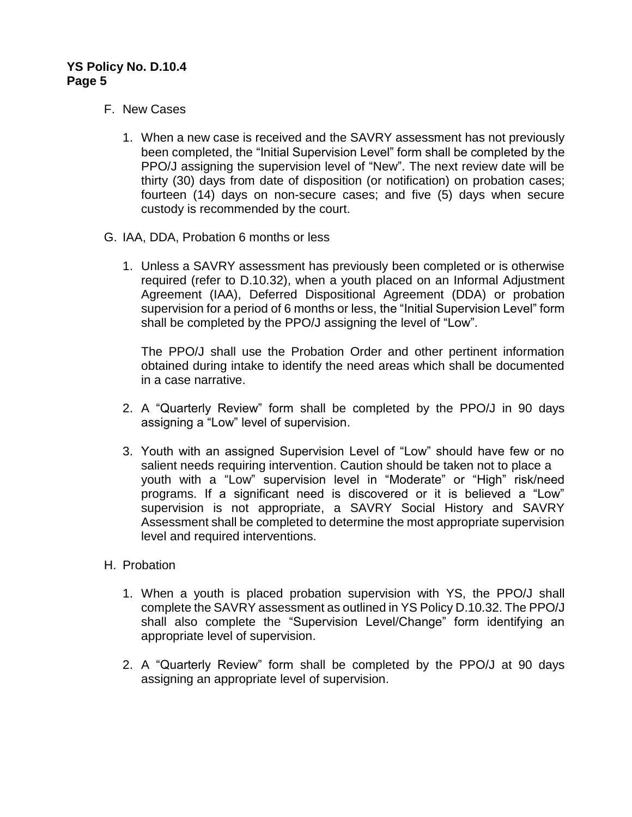## F. New Cases

- 1. When a new case is received and the SAVRY assessment has not previously been completed, the "Initial Supervision Level" form shall be completed by the PPO/J assigning the supervision level of "New". The next review date will be thirty (30) days from date of disposition (or notification) on probation cases; fourteen (14) days on non-secure cases; and five (5) days when secure custody is recommended by the court.
- G. IAA, DDA, Probation 6 months or less
	- 1. Unless a SAVRY assessment has previously been completed or is otherwise required (refer to D.10.32), when a youth placed on an Informal Adjustment Agreement (IAA), Deferred Dispositional Agreement (DDA) or probation supervision for a period of 6 months or less, the "Initial Supervision Level" form shall be completed by the PPO/J assigning the level of "Low".

The PPO/J shall use the Probation Order and other pertinent information obtained during intake to identify the need areas which shall be documented in a case narrative.

- 2. A "Quarterly Review" form shall be completed by the PPO/J in 90 days assigning a "Low" level of supervision.
- 3. Youth with an assigned Supervision Level of "Low" should have few or no salient needs requiring intervention. Caution should be taken not to place a youth with a "Low" supervision level in "Moderate" or "High" risk/need programs. If a significant need is discovered or it is believed a "Low" supervision is not appropriate, a SAVRY Social History and SAVRY Assessment shall be completed to determine the most appropriate supervision level and required interventions.

#### H. Probation

- 1. When a youth is placed probation supervision with YS, the PPO/J shall complete the SAVRY assessment as outlined in YS Policy D.10.32. The PPO/J shall also complete the "Supervision Level/Change" form identifying an appropriate level of supervision.
- 2. A "Quarterly Review" form shall be completed by the PPO/J at 90 days assigning an appropriate level of supervision.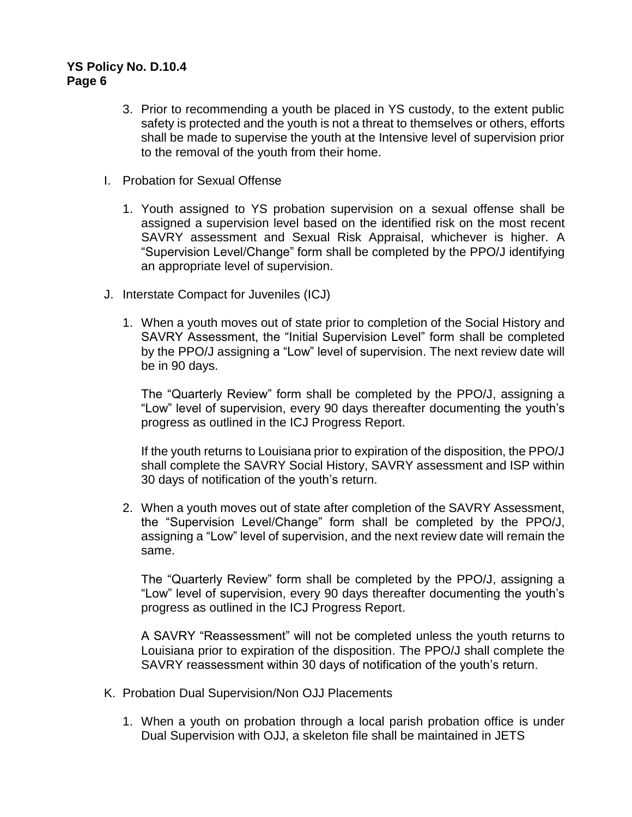- 3. Prior to recommending a youth be placed in YS custody, to the extent public safety is protected and the youth is not a threat to themselves or others, efforts shall be made to supervise the youth at the Intensive level of supervision prior to the removal of the youth from their home.
- I. Probation for Sexual Offense
	- 1. Youth assigned to YS probation supervision on a sexual offense shall be assigned a supervision level based on the identified risk on the most recent SAVRY assessment and Sexual Risk Appraisal, whichever is higher. A "Supervision Level/Change" form shall be completed by the PPO/J identifying an appropriate level of supervision.
- J. Interstate Compact for Juveniles (ICJ)
	- 1. When a youth moves out of state prior to completion of the Social History and SAVRY Assessment, the "Initial Supervision Level" form shall be completed by the PPO/J assigning a "Low" level of supervision. The next review date will be in 90 days.

The "Quarterly Review" form shall be completed by the PPO/J, assigning a "Low" level of supervision, every 90 days thereafter documenting the youth's progress as outlined in the ICJ Progress Report.

If the youth returns to Louisiana prior to expiration of the disposition, the PPO/J shall complete the SAVRY Social History, SAVRY assessment and ISP within 30 days of notification of the youth's return.

2. When a youth moves out of state after completion of the SAVRY Assessment, the "Supervision Level/Change" form shall be completed by the PPO/J, assigning a "Low" level of supervision, and the next review date will remain the same.

The "Quarterly Review" form shall be completed by the PPO/J, assigning a "Low" level of supervision, every 90 days thereafter documenting the youth's progress as outlined in the ICJ Progress Report.

A SAVRY "Reassessment" will not be completed unless the youth returns to Louisiana prior to expiration of the disposition. The PPO/J shall complete the SAVRY reassessment within 30 days of notification of the youth's return.

- K. Probation Dual Supervision/Non OJJ Placements
	- 1. When a youth on probation through a local parish probation office is under Dual Supervision with OJJ, a skeleton file shall be maintained in JETS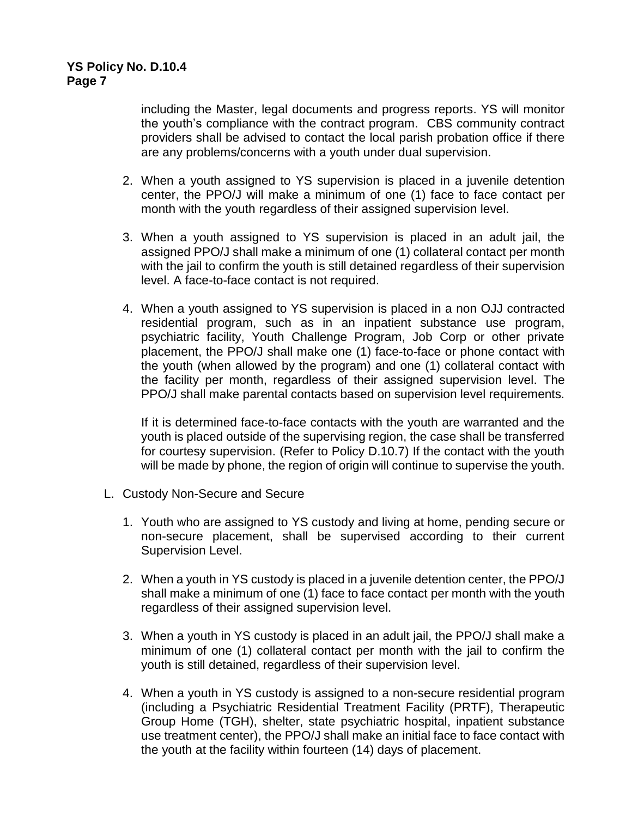including the Master, legal documents and progress reports. YS will monitor the youth's compliance with the contract program. CBS community contract providers shall be advised to contact the local parish probation office if there are any problems/concerns with a youth under dual supervision.

- 2. When a youth assigned to YS supervision is placed in a juvenile detention center, the PPO/J will make a minimum of one (1) face to face contact per month with the youth regardless of their assigned supervision level.
- 3. When a youth assigned to YS supervision is placed in an adult jail, the assigned PPO/J shall make a minimum of one (1) collateral contact per month with the jail to confirm the youth is still detained regardless of their supervision level. A face-to-face contact is not required.
- 4. When a youth assigned to YS supervision is placed in a non OJJ contracted residential program, such as in an inpatient substance use program, psychiatric facility, Youth Challenge Program, Job Corp or other private placement, the PPO/J shall make one (1) face-to-face or phone contact with the youth (when allowed by the program) and one (1) collateral contact with the facility per month, regardless of their assigned supervision level. The PPO/J shall make parental contacts based on supervision level requirements.

If it is determined face-to-face contacts with the youth are warranted and the youth is placed outside of the supervising region, the case shall be transferred for courtesy supervision. (Refer to Policy D.10.7) If the contact with the youth will be made by phone, the region of origin will continue to supervise the youth.

- L. Custody Non-Secure and Secure
	- 1. Youth who are assigned to YS custody and living at home, pending secure or non-secure placement, shall be supervised according to their current Supervision Level.
	- 2. When a youth in YS custody is placed in a juvenile detention center, the PPO/J shall make a minimum of one (1) face to face contact per month with the youth regardless of their assigned supervision level.
	- 3. When a youth in YS custody is placed in an adult jail, the PPO/J shall make a minimum of one (1) collateral contact per month with the jail to confirm the youth is still detained, regardless of their supervision level.
	- 4. When a youth in YS custody is assigned to a non-secure residential program (including a Psychiatric Residential Treatment Facility (PRTF), Therapeutic Group Home (TGH), shelter, state psychiatric hospital, inpatient substance use treatment center), the PPO/J shall make an initial face to face contact with the youth at the facility within fourteen (14) days of placement.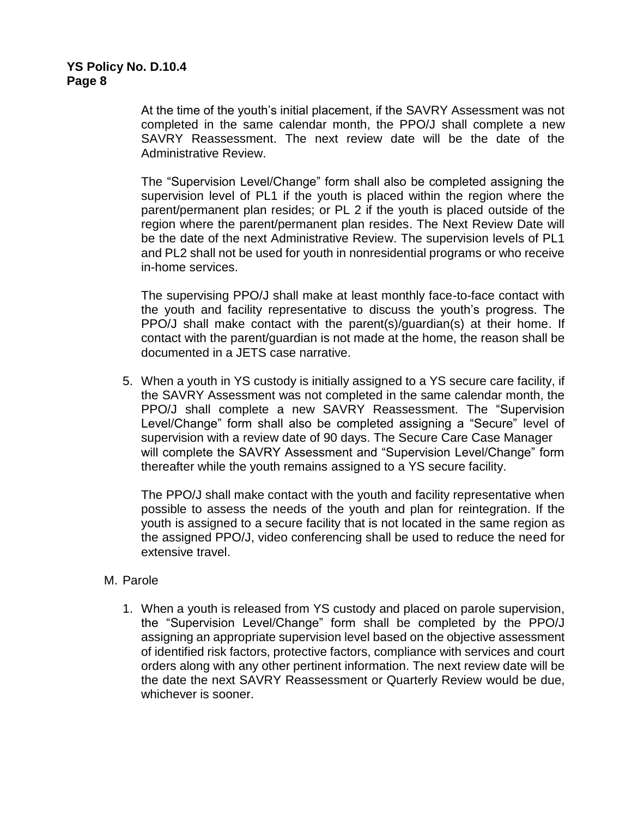At the time of the youth's initial placement, if the SAVRY Assessment was not completed in the same calendar month, the PPO/J shall complete a new SAVRY Reassessment. The next review date will be the date of the Administrative Review.

The "Supervision Level/Change" form shall also be completed assigning the supervision level of PL1 if the youth is placed within the region where the parent/permanent plan resides; or PL 2 if the youth is placed outside of the region where the parent/permanent plan resides. The Next Review Date will be the date of the next Administrative Review. The supervision levels of PL1 and PL2 shall not be used for youth in nonresidential programs or who receive in-home services.

The supervising PPO/J shall make at least monthly face-to-face contact with the youth and facility representative to discuss the youth's progress. The PPO/J shall make contact with the parent(s)/guardian(s) at their home. If contact with the parent/guardian is not made at the home, the reason shall be documented in a JETS case narrative.

5. When a youth in YS custody is initially assigned to a YS secure care facility, if the SAVRY Assessment was not completed in the same calendar month, the PPO/J shall complete a new SAVRY Reassessment. The "Supervision Level/Change" form shall also be completed assigning a "Secure" level of supervision with a review date of 90 days. The Secure Care Case Manager will complete the SAVRY Assessment and "Supervision Level/Change" form thereafter while the youth remains assigned to a YS secure facility.

The PPO/J shall make contact with the youth and facility representative when possible to assess the needs of the youth and plan for reintegration. If the youth is assigned to a secure facility that is not located in the same region as the assigned PPO/J, video conferencing shall be used to reduce the need for extensive travel.

#### M. Parole

1. When a youth is released from YS custody and placed on parole supervision, the "Supervision Level/Change" form shall be completed by the PPO/J assigning an appropriate supervision level based on the objective assessment of identified risk factors, protective factors, compliance with services and court orders along with any other pertinent information. The next review date will be the date the next SAVRY Reassessment or Quarterly Review would be due, whichever is sooner.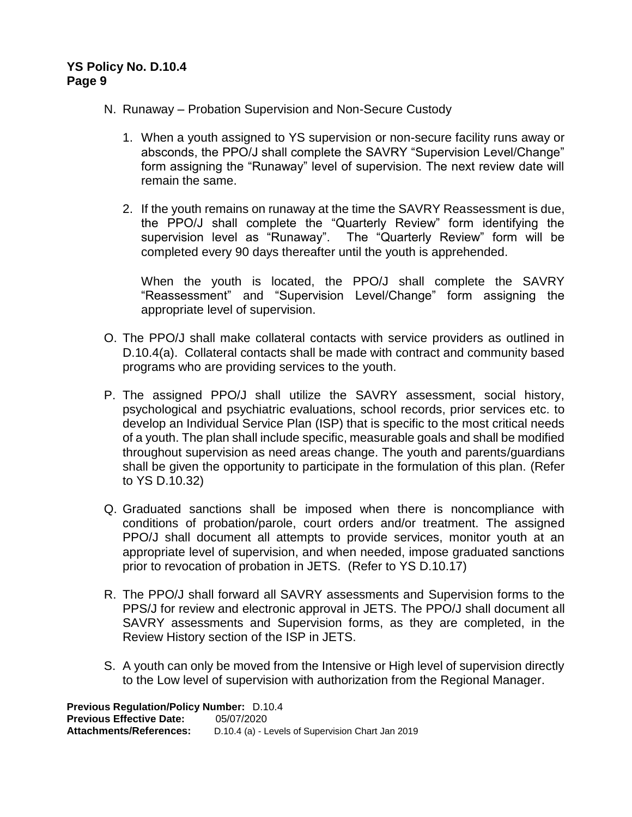- N. Runaway Probation Supervision and Non-Secure Custody
	- 1. When a youth assigned to YS supervision or non-secure facility runs away or absconds, the PPO/J shall complete the SAVRY "Supervision Level/Change" form assigning the "Runaway" level of supervision. The next review date will remain the same.
	- 2. If the youth remains on runaway at the time the SAVRY Reassessment is due, the PPO/J shall complete the "Quarterly Review" form identifying the supervision level as "Runaway". The "Quarterly Review" form will be completed every 90 days thereafter until the youth is apprehended.

When the youth is located, the PPO/J shall complete the SAVRY "Reassessment" and "Supervision Level/Change" form assigning the appropriate level of supervision.

- O. The PPO/J shall make collateral contacts with service providers as outlined in D.10.4(a). Collateral contacts shall be made with contract and community based programs who are providing services to the youth.
- P. The assigned PPO/J shall utilize the SAVRY assessment, social history, psychological and psychiatric evaluations, school records, prior services etc. to develop an Individual Service Plan (ISP) that is specific to the most critical needs of a youth. The plan shall include specific, measurable goals and shall be modified throughout supervision as need areas change. The youth and parents/guardians shall be given the opportunity to participate in the formulation of this plan. (Refer to YS D.10.32)
- Q. Graduated sanctions shall be imposed when there is noncompliance with conditions of probation/parole, court orders and/or treatment. The assigned PPO/J shall document all attempts to provide services, monitor youth at an appropriate level of supervision, and when needed, impose graduated sanctions prior to revocation of probation in JETS. (Refer to YS D.10.17)
- R. The PPO/J shall forward all SAVRY assessments and Supervision forms to the PPS/J for review and electronic approval in JETS. The PPO/J shall document all SAVRY assessments and Supervision forms, as they are completed, in the Review History section of the ISP in JETS.
- S. A youth can only be moved from the Intensive or High level of supervision directly to the Low level of supervision with authorization from the Regional Manager.